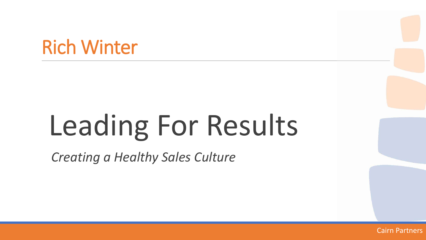#### Rich Winter

# Leading For Results

*Creating a Healthy Sales Culture*

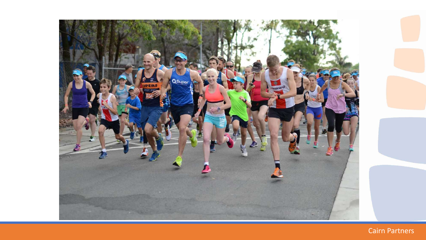

#### Cairn Partners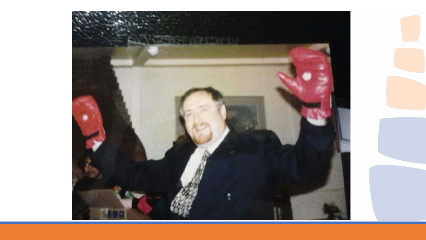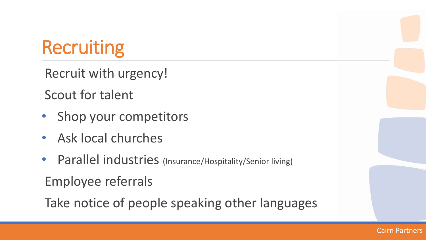**Recruiting** 

Recruit with urgency!

Scout for talent

- Shop your competitors
- Ask local churches
- Parallel industries (Insurance/Hospitality/Senior living)

Employee referrals

Take notice of people speaking other languages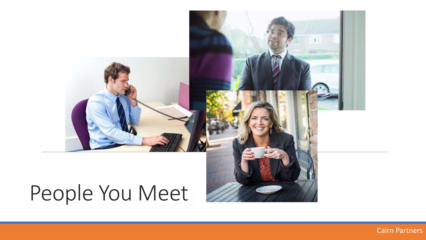## People You Meet



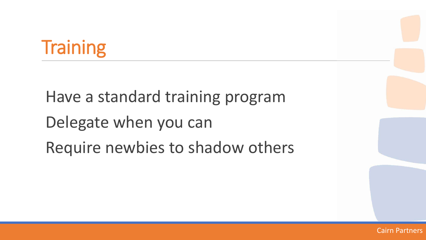### **Training**

Have a standard training program Delegate when you can Require newbies to shadow others

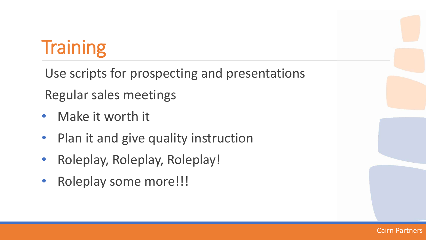### **Training**

Use scripts for prospecting and presentations Regular sales meetings

- Make it worth it
- Plan it and give quality instruction
- Roleplay, Roleplay, Roleplay!
- Roleplay some more!!!

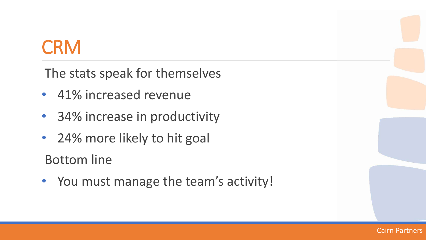#### CRM

The stats speak for themselves

- 41% increased revenue
- 34% increase in productivity
- 24% more likely to hit goal Bottom line
- You must manage the team's activity!

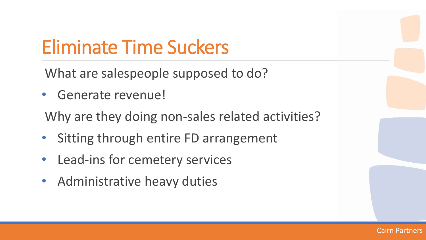#### Eliminate Time Suckers

What are salespeople supposed to do?

• Generate revenue!

Why are they doing non-sales related activities?

- Sitting through entire FD arrangement
- Lead-ins for cemetery services
- Administrative heavy duties

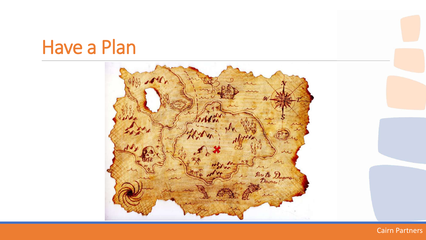#### Have a Plan



#### Cairn Partners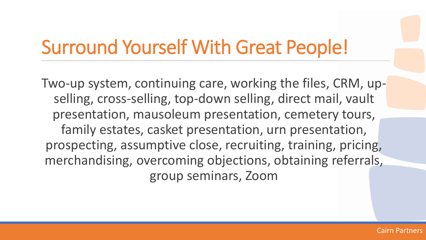#### Surround Yourself With Great People!

Two-up system, continuing care, working the files, CRM, upselling, cross-selling, top-down selling, direct mail, vault presentation, mausoleum presentation, cemetery tours, family estates, casket presentation, urn presentation, prospecting, assumptive close, recruiting, training, pricing, merchandising, overcoming objections, obtaining referrals, group seminars, Zoom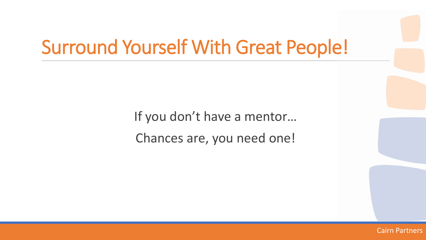#### Surround Yourself With Great People!

If you don't have a mentor… Chances are, you need one!